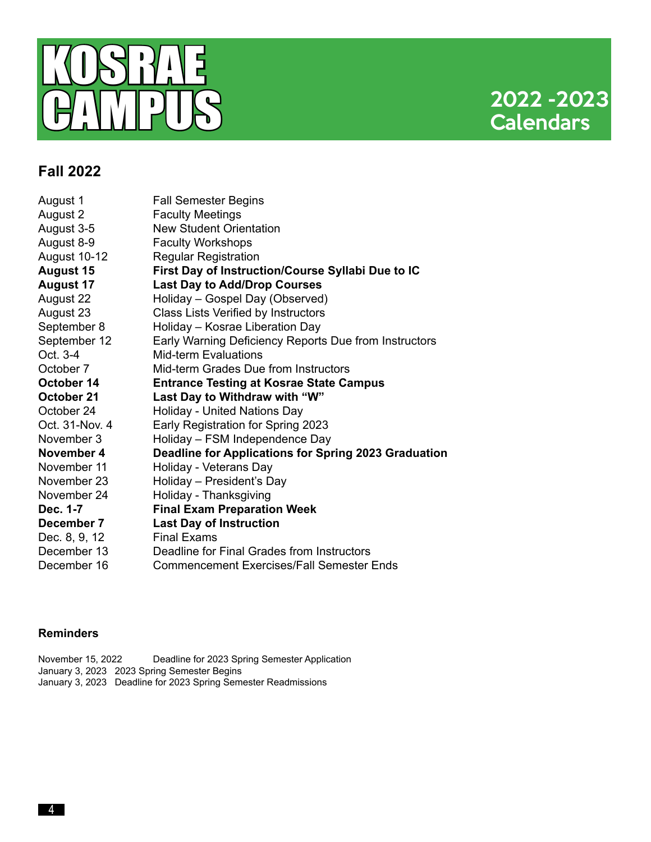

## **Fall 2022**

| August 1         | <b>Fall Semester Begins</b>                           |
|------------------|-------------------------------------------------------|
| August 2         | <b>Faculty Meetings</b>                               |
| August 3-5       | <b>New Student Orientation</b>                        |
| August 8-9       | <b>Faculty Workshops</b>                              |
| August 10-12     | <b>Regular Registration</b>                           |
| <b>August 15</b> | First Day of Instruction/Course Syllabi Due to IC     |
| <b>August 17</b> | <b>Last Day to Add/Drop Courses</b>                   |
| August 22        | Holiday - Gospel Day (Observed)                       |
| August 23        | Class Lists Verified by Instructors                   |
| September 8      | Holiday - Kosrae Liberation Day                       |
| September 12     | Early Warning Deficiency Reports Due from Instructors |
| Oct. 3-4         | <b>Mid-term Evaluations</b>                           |
| October 7        | Mid-term Grades Due from Instructors                  |
| October 14       | <b>Entrance Testing at Kosrae State Campus</b>        |
| October 21       | Last Day to Withdraw with "W"                         |
| October 24       | Holiday - United Nations Day                          |
| Oct. 31-Nov. 4   | Early Registration for Spring 2023                    |
| November 3       | Holiday - FSM Independence Day                        |
| November 4       | Deadline for Applications for Spring 2023 Graduation  |
| November 11      | Holiday - Veterans Day                                |
| November 23      | Holiday - President's Day                             |
| November 24      | Holiday - Thanksgiving                                |
| Dec. 1-7         | <b>Final Exam Preparation Week</b>                    |
| December 7       | <b>Last Day of Instruction</b>                        |
| Dec. 8, 9, 12    | <b>Final Exams</b>                                    |
| December 13      | Deadline for Final Grades from Instructors            |
| December 16      | <b>Commencement Exercises/Fall Semester Ends</b>      |

### **Reminders**

November 15, 2022 Deadline for 2023 Spring Semester Application January 3, 2023 2023 Spring Semester Begins January 3, 2023 Deadline for 2023 Spring Semester Readmissions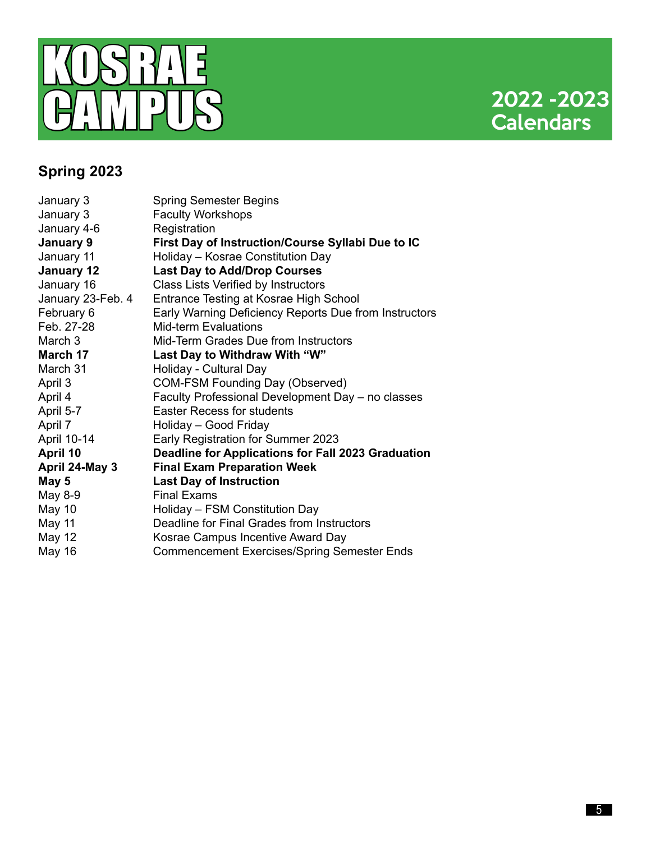

# **Spring 2023**

| January 3         | <b>Spring Semester Begins</b>                         |
|-------------------|-------------------------------------------------------|
| January 3         | <b>Faculty Workshops</b>                              |
| January 4-6       | Registration                                          |
| January 9         | First Day of Instruction/Course Syllabi Due to IC     |
| January 11        | Holiday - Kosrae Constitution Day                     |
| January 12        | <b>Last Day to Add/Drop Courses</b>                   |
| January 16        | Class Lists Verified by Instructors                   |
| January 23-Feb. 4 | Entrance Testing at Kosrae High School                |
| February 6        | Early Warning Deficiency Reports Due from Instructors |
| Feb. 27-28        | <b>Mid-term Evaluations</b>                           |
| March 3           | Mid-Term Grades Due from Instructors                  |
| March 17          | Last Day to Withdraw With "W"                         |
| March 31          | Holiday - Cultural Day                                |
| April 3           | <b>COM-FSM Founding Day (Observed)</b>                |
| April 4           | Faculty Professional Development Day - no classes     |
| April 5-7         | <b>Easter Recess for students</b>                     |
| April 7           | Holiday - Good Friday                                 |
| April 10-14       | Early Registration for Summer 2023                    |
| April 10          | Deadline for Applications for Fall 2023 Graduation    |
| April 24-May 3    | <b>Final Exam Preparation Week</b>                    |
| May 5             | <b>Last Day of Instruction</b>                        |
| May 8-9           | <b>Final Exams</b>                                    |
| May 10            | Holiday - FSM Constitution Day                        |
| May 11            | Deadline for Final Grades from Instructors            |
| <b>May 12</b>     | Kosrae Campus Incentive Award Day                     |
| <b>May 16</b>     | <b>Commencement Exercises/Spring Semester Ends</b>    |